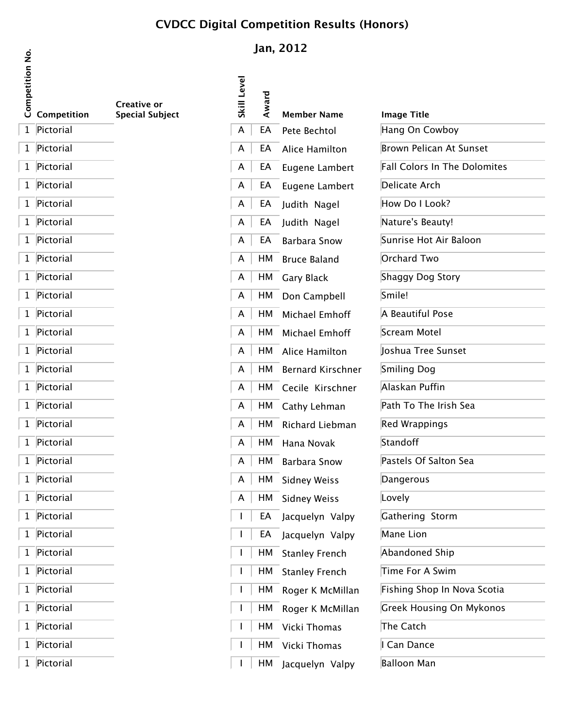## **CVDCC Digital Competition Results (Honors)**

|                        |             |                                              |             |           | Jan, 2012               |
|------------------------|-------------|----------------------------------------------|-------------|-----------|-------------------------|
| <b>Competition No.</b> | Competition | <b>Creative or</b><br><b>Special Subject</b> | Skill Level | Award     | <b>Member Name</b>      |
| 1                      | Pictorial   |                                              | A           | EA        | Pete Bechtol            |
| 1                      | Pictorial   |                                              | A           | EA        | Alice Hamilton          |
| 1                      | Pictorial   |                                              | A           | EA        | Eugene Lambert          |
| 1                      | Pictorial   |                                              | A           | EA        | Eugene Lambert          |
| 1                      | Pictorial   |                                              | A           | EA        | Judith Nagel            |
| 1                      | Pictorial   |                                              | A           | EA        | Judith Nagel            |
| 1                      | Pictorial   |                                              | A           | EA        | <b>Barbara Snow</b>     |
| 1                      | Pictorial   |                                              | A           | HM        | <b>Bruce Baland</b>     |
| 1                      | Pictorial   |                                              | A           | HM        | Gary Black              |
| 1                      | Pictorial   |                                              | A           | HM        | Don Campbell            |
| 1                      | Pictorial   |                                              | A           | HM        | Michael Emhoff          |
| $\mathbf 1$            | Pictorial   |                                              | A           | HM        | Michael Emhoff          |
| 1                      | Pictorial   |                                              | A           | HM        | Alice Hamilton          |
| 1                      | Pictorial   |                                              | A           | HM        | <b>Bernard Kirschne</b> |
| $\mathbf 1$            | Pictorial   |                                              | A           | HM        | Cecile Kirschner        |
| 1                      | Pictorial   |                                              | A           | HM        | Cathy Lehman            |
| 1                      | Pictorial   |                                              | A           | HM        | Richard Liebman         |
| 1                      | Pictorial   |                                              | A           | HМ        | Hana Novak              |
| $\mathbf{1}$           | Pictorial   |                                              | A           | $\mid$ HM | <b>Barbara Snow</b>     |
| 1                      | Pictorial   |                                              | А           | HМ        | <b>Sidney Weiss</b>     |
| 1                      | Pictorial   |                                              | A           | НM        | <b>Sidney Weiss</b>     |
| 1                      | Pictorial   |                                              | I           | EA        | Jacquelyn Valpy         |
| 1                      | Pictorial   |                                              | I           | EA        | Jacquelyn Valpy         |
| 1                      | Pictorial   |                                              | I           | HМ        | <b>Stanley French</b>   |
| 1                      | Pictorial   |                                              | L           | HM        | <b>Stanley French</b>   |
| 1                      | Pictorial   |                                              | I           | HМ        | Roger K McMillar        |
| 1                      | Pictorial   |                                              | L           | HМ        | Roger K McMillar        |
| 1                      | Pictorial   |                                              | L           | HM        | Vicki Thomas            |
| 1                      | Pictorial   |                                              | I           | HМ        | Vicki Thomas            |
| 1                      | Pictorial   |                                              | I           | HМ        | Jacquelyn Valpy         |

|           | ompetition Results (Honors) |                    |
|-----------|-----------------------------|--------------------|
|           | Jan, 2012                   |                    |
|           |                             |                    |
| Award     | <b>Member Name</b>          | <b>Image Title</b> |
| EA        | Pete Bechtol                | Hang On C          |
| EA        | Alice Hamilton              | <b>Brown Pelio</b> |
| EA        | Eugene Lambert              | <b>Fall Colors</b> |
| EA        | Eugene Lambert              | Delicate Ar        |
| EA        | Judith Nagel                | How Do I L         |
| EA        | Judith Nagel                | Nature's Be        |
| EA        | Barbara Snow                | Sunrise Ho         |
| HM        | Bruce Baland                | Orchard Tv         |
| HM        | <b>Gary Black</b>           | Shaggy Do          |
| HM        | Don Campbell                | Smile!             |
| HM        | Michael Emhoff              | A Beautiful        |
| HM        | Michael Emhoff              | Scream Mo          |
| HM        | Alice Hamilton              | Joshua Tre         |
| HM        | <b>Bernard Kirschner</b>    | Smiling Do         |
| HM        | Cecile Kirschner            | Alaskan Pu         |
| нм        | Cathy Lehman                | Path To Th         |
| HМ        | Richard Liebman             | <b>Red Wrapp</b>   |
| нм        | Hana Novak                  | Standoff           |
| <b>HM</b> | <b>Barbara Snow</b>         | Pastels Of:        |
| нм        | Sidnev Weiss                | Dangerous          |

| 1 Pictorial<br>Hang On Cowboy<br>EA<br>Pete Bechtol<br>A<br>1 Pictorial<br>Brown Pelican At Sunset<br>A<br>Alice Hamilton<br>EA<br>1 Pictorial<br>Fall Colors In The Dolomites<br>A<br>EA<br>Eugene Lambert<br>1 Pictorial<br>Delicate Arch<br>Eugene Lambert<br>A<br>EA<br>1 Pictorial<br>How Do I Look?<br>A<br>EA Judith Nagel<br>1 Pictorial<br>Nature's Beauty!<br>EA Judith Nagel<br>A<br>1 Pictorial<br>Sunrise Hot Air Baloon<br>Barbara Snow<br>A<br>EA<br>1 Pictorial<br>Orchard Two<br>HM Bruce Baland<br>A<br>1 Pictorial<br>Shaggy Dog Story<br>HM Gary Black<br>A<br>1 Pictorial<br>Smile!<br>HM Don Campbell<br>A<br>1 Pictorial<br>A Beautiful Pose<br>HM Michael Emhoff<br>A<br>1 Pictorial<br>Scream Motel<br>HM Michael Emhoff<br>A<br>1 Pictorial<br>Joshua Tree Sunset<br>HM Alice Hamilton<br>A<br>1 Pictorial<br>Smiling Dog<br>HM Bernard Kirschner<br>A<br>1 Pictorial<br>Alaskan Puffin<br>HM Cecile Kirschner<br>A<br>1 Pictorial<br>Path To The Irish Sea<br>HM Cathy Lehman<br>A<br>1 Pictorial<br>Red Wrappings<br>HM Richard Liebman<br>A<br>1 Pictorial<br>Standoff<br>HM Hana Novak<br>A<br>1 Pictorial<br>Pastels Of Salton Sea<br>Barbara Snow<br>HM<br>A<br>1 Pictorial<br>HM Sidney Weiss<br>Dangerous<br>A<br>1 Pictorial<br>HM Sidney Weiss<br>Lovely<br>A<br>1 Pictorial<br>Gathering Storm<br>EA<br>Jacquelyn Valpy<br>1 Pictorial<br>Mane Lion<br>EA Jacquelyn Valpy<br>1 Pictorial<br>Abandoned Ship<br>HM Stanley French<br>1 Pictorial<br>Time For A Swim<br>HM Stanley French<br>1 Pictorial<br>Fishing Shop In Nova Scotia<br>HM Roger K McMillan<br>1 Pictorial<br>Greek Housing On Mykonos<br>HM Roger K McMillan<br>1 Pictorial<br>HM Vicki Thomas<br>The Catch<br>1 Pictorial<br>I Can Dance<br>HM Vicki Thomas<br>1 Pictorial<br><b>Balloon Man</b><br>HМ<br>Jacquelyn Valpy | <b>3</b> Competition | <b>Special Subject</b> | శ | ₹ | <b>Member Name</b> | <b>Image Title</b> |
|----------------------------------------------------------------------------------------------------------------------------------------------------------------------------------------------------------------------------------------------------------------------------------------------------------------------------------------------------------------------------------------------------------------------------------------------------------------------------------------------------------------------------------------------------------------------------------------------------------------------------------------------------------------------------------------------------------------------------------------------------------------------------------------------------------------------------------------------------------------------------------------------------------------------------------------------------------------------------------------------------------------------------------------------------------------------------------------------------------------------------------------------------------------------------------------------------------------------------------------------------------------------------------------------------------------------------------------------------------------------------------------------------------------------------------------------------------------------------------------------------------------------------------------------------------------------------------------------------------------------------------------------------------------------------------------------------------------------------------------------------------------------------------------------------------------------------------|----------------------|------------------------|---|---|--------------------|--------------------|
|                                                                                                                                                                                                                                                                                                                                                                                                                                                                                                                                                                                                                                                                                                                                                                                                                                                                                                                                                                                                                                                                                                                                                                                                                                                                                                                                                                                                                                                                                                                                                                                                                                                                                                                                                                                                                                  |                      |                        |   |   |                    |                    |
|                                                                                                                                                                                                                                                                                                                                                                                                                                                                                                                                                                                                                                                                                                                                                                                                                                                                                                                                                                                                                                                                                                                                                                                                                                                                                                                                                                                                                                                                                                                                                                                                                                                                                                                                                                                                                                  |                      |                        |   |   |                    |                    |
|                                                                                                                                                                                                                                                                                                                                                                                                                                                                                                                                                                                                                                                                                                                                                                                                                                                                                                                                                                                                                                                                                                                                                                                                                                                                                                                                                                                                                                                                                                                                                                                                                                                                                                                                                                                                                                  |                      |                        |   |   |                    |                    |
|                                                                                                                                                                                                                                                                                                                                                                                                                                                                                                                                                                                                                                                                                                                                                                                                                                                                                                                                                                                                                                                                                                                                                                                                                                                                                                                                                                                                                                                                                                                                                                                                                                                                                                                                                                                                                                  |                      |                        |   |   |                    |                    |
|                                                                                                                                                                                                                                                                                                                                                                                                                                                                                                                                                                                                                                                                                                                                                                                                                                                                                                                                                                                                                                                                                                                                                                                                                                                                                                                                                                                                                                                                                                                                                                                                                                                                                                                                                                                                                                  |                      |                        |   |   |                    |                    |
|                                                                                                                                                                                                                                                                                                                                                                                                                                                                                                                                                                                                                                                                                                                                                                                                                                                                                                                                                                                                                                                                                                                                                                                                                                                                                                                                                                                                                                                                                                                                                                                                                                                                                                                                                                                                                                  |                      |                        |   |   |                    |                    |
|                                                                                                                                                                                                                                                                                                                                                                                                                                                                                                                                                                                                                                                                                                                                                                                                                                                                                                                                                                                                                                                                                                                                                                                                                                                                                                                                                                                                                                                                                                                                                                                                                                                                                                                                                                                                                                  |                      |                        |   |   |                    |                    |
|                                                                                                                                                                                                                                                                                                                                                                                                                                                                                                                                                                                                                                                                                                                                                                                                                                                                                                                                                                                                                                                                                                                                                                                                                                                                                                                                                                                                                                                                                                                                                                                                                                                                                                                                                                                                                                  |                      |                        |   |   |                    |                    |
|                                                                                                                                                                                                                                                                                                                                                                                                                                                                                                                                                                                                                                                                                                                                                                                                                                                                                                                                                                                                                                                                                                                                                                                                                                                                                                                                                                                                                                                                                                                                                                                                                                                                                                                                                                                                                                  |                      |                        |   |   |                    |                    |
|                                                                                                                                                                                                                                                                                                                                                                                                                                                                                                                                                                                                                                                                                                                                                                                                                                                                                                                                                                                                                                                                                                                                                                                                                                                                                                                                                                                                                                                                                                                                                                                                                                                                                                                                                                                                                                  |                      |                        |   |   |                    |                    |
|                                                                                                                                                                                                                                                                                                                                                                                                                                                                                                                                                                                                                                                                                                                                                                                                                                                                                                                                                                                                                                                                                                                                                                                                                                                                                                                                                                                                                                                                                                                                                                                                                                                                                                                                                                                                                                  |                      |                        |   |   |                    |                    |
|                                                                                                                                                                                                                                                                                                                                                                                                                                                                                                                                                                                                                                                                                                                                                                                                                                                                                                                                                                                                                                                                                                                                                                                                                                                                                                                                                                                                                                                                                                                                                                                                                                                                                                                                                                                                                                  |                      |                        |   |   |                    |                    |
|                                                                                                                                                                                                                                                                                                                                                                                                                                                                                                                                                                                                                                                                                                                                                                                                                                                                                                                                                                                                                                                                                                                                                                                                                                                                                                                                                                                                                                                                                                                                                                                                                                                                                                                                                                                                                                  |                      |                        |   |   |                    |                    |
|                                                                                                                                                                                                                                                                                                                                                                                                                                                                                                                                                                                                                                                                                                                                                                                                                                                                                                                                                                                                                                                                                                                                                                                                                                                                                                                                                                                                                                                                                                                                                                                                                                                                                                                                                                                                                                  |                      |                        |   |   |                    |                    |
|                                                                                                                                                                                                                                                                                                                                                                                                                                                                                                                                                                                                                                                                                                                                                                                                                                                                                                                                                                                                                                                                                                                                                                                                                                                                                                                                                                                                                                                                                                                                                                                                                                                                                                                                                                                                                                  |                      |                        |   |   |                    |                    |
|                                                                                                                                                                                                                                                                                                                                                                                                                                                                                                                                                                                                                                                                                                                                                                                                                                                                                                                                                                                                                                                                                                                                                                                                                                                                                                                                                                                                                                                                                                                                                                                                                                                                                                                                                                                                                                  |                      |                        |   |   |                    |                    |
|                                                                                                                                                                                                                                                                                                                                                                                                                                                                                                                                                                                                                                                                                                                                                                                                                                                                                                                                                                                                                                                                                                                                                                                                                                                                                                                                                                                                                                                                                                                                                                                                                                                                                                                                                                                                                                  |                      |                        |   |   |                    |                    |
|                                                                                                                                                                                                                                                                                                                                                                                                                                                                                                                                                                                                                                                                                                                                                                                                                                                                                                                                                                                                                                                                                                                                                                                                                                                                                                                                                                                                                                                                                                                                                                                                                                                                                                                                                                                                                                  |                      |                        |   |   |                    |                    |
|                                                                                                                                                                                                                                                                                                                                                                                                                                                                                                                                                                                                                                                                                                                                                                                                                                                                                                                                                                                                                                                                                                                                                                                                                                                                                                                                                                                                                                                                                                                                                                                                                                                                                                                                                                                                                                  |                      |                        |   |   |                    |                    |
|                                                                                                                                                                                                                                                                                                                                                                                                                                                                                                                                                                                                                                                                                                                                                                                                                                                                                                                                                                                                                                                                                                                                                                                                                                                                                                                                                                                                                                                                                                                                                                                                                                                                                                                                                                                                                                  |                      |                        |   |   |                    |                    |
|                                                                                                                                                                                                                                                                                                                                                                                                                                                                                                                                                                                                                                                                                                                                                                                                                                                                                                                                                                                                                                                                                                                                                                                                                                                                                                                                                                                                                                                                                                                                                                                                                                                                                                                                                                                                                                  |                      |                        |   |   |                    |                    |
|                                                                                                                                                                                                                                                                                                                                                                                                                                                                                                                                                                                                                                                                                                                                                                                                                                                                                                                                                                                                                                                                                                                                                                                                                                                                                                                                                                                                                                                                                                                                                                                                                                                                                                                                                                                                                                  |                      |                        |   |   |                    |                    |
|                                                                                                                                                                                                                                                                                                                                                                                                                                                                                                                                                                                                                                                                                                                                                                                                                                                                                                                                                                                                                                                                                                                                                                                                                                                                                                                                                                                                                                                                                                                                                                                                                                                                                                                                                                                                                                  |                      |                        |   |   |                    |                    |
|                                                                                                                                                                                                                                                                                                                                                                                                                                                                                                                                                                                                                                                                                                                                                                                                                                                                                                                                                                                                                                                                                                                                                                                                                                                                                                                                                                                                                                                                                                                                                                                                                                                                                                                                                                                                                                  |                      |                        |   |   |                    |                    |
|                                                                                                                                                                                                                                                                                                                                                                                                                                                                                                                                                                                                                                                                                                                                                                                                                                                                                                                                                                                                                                                                                                                                                                                                                                                                                                                                                                                                                                                                                                                                                                                                                                                                                                                                                                                                                                  |                      |                        |   |   |                    |                    |
|                                                                                                                                                                                                                                                                                                                                                                                                                                                                                                                                                                                                                                                                                                                                                                                                                                                                                                                                                                                                                                                                                                                                                                                                                                                                                                                                                                                                                                                                                                                                                                                                                                                                                                                                                                                                                                  |                      |                        |   |   |                    |                    |
|                                                                                                                                                                                                                                                                                                                                                                                                                                                                                                                                                                                                                                                                                                                                                                                                                                                                                                                                                                                                                                                                                                                                                                                                                                                                                                                                                                                                                                                                                                                                                                                                                                                                                                                                                                                                                                  |                      |                        |   |   |                    |                    |
|                                                                                                                                                                                                                                                                                                                                                                                                                                                                                                                                                                                                                                                                                                                                                                                                                                                                                                                                                                                                                                                                                                                                                                                                                                                                                                                                                                                                                                                                                                                                                                                                                                                                                                                                                                                                                                  |                      |                        |   |   |                    |                    |
|                                                                                                                                                                                                                                                                                                                                                                                                                                                                                                                                                                                                                                                                                                                                                                                                                                                                                                                                                                                                                                                                                                                                                                                                                                                                                                                                                                                                                                                                                                                                                                                                                                                                                                                                                                                                                                  |                      |                        |   |   |                    |                    |
|                                                                                                                                                                                                                                                                                                                                                                                                                                                                                                                                                                                                                                                                                                                                                                                                                                                                                                                                                                                                                                                                                                                                                                                                                                                                                                                                                                                                                                                                                                                                                                                                                                                                                                                                                                                                                                  |                      |                        |   |   |                    |                    |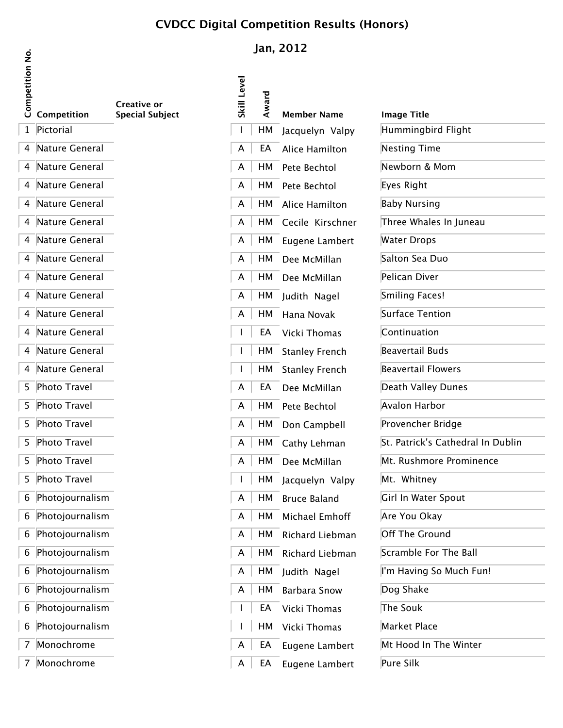## **CVDCC Digital Competition Results (Honors)**

| Competition No. | Competition           | Creative or<br><b>Special Subject</b> |
|-----------------|-----------------------|---------------------------------------|
| $\mathbf{1}$    | Pictorial             |                                       |
| 4               | Nature General        |                                       |
| 4               | Nature General        |                                       |
| 4               | <b>Nature General</b> |                                       |
| 4               | Nature General        |                                       |
| 4               | Nature General        |                                       |
| 4               | <b>Nature General</b> |                                       |
| 4               | Nature General        |                                       |
| 4               | <b>Nature General</b> |                                       |
| 4               | <b>Nature General</b> |                                       |
| 4               | Nature General        |                                       |
| 4               | <b>Nature General</b> |                                       |
| 4               | <b>Nature General</b> |                                       |
| 4               | Nature General        |                                       |
| 5               | <b>Photo Travel</b>   |                                       |
| 5               | <b>Photo Travel</b>   |                                       |
| 5               | <b>Photo Travel</b>   |                                       |
| 5               | <b>Photo Travel</b>   |                                       |
| 5               | <b>Photo Travel</b>   |                                       |
| 5               | <b>Photo Travel</b>   |                                       |
| 6               | Photojournalism       |                                       |
| 6               | Photojournalism       |                                       |
| 6               | Photojournalism       |                                       |
| 6               | Photojournalism       |                                       |
| 6               | Photojournalism       |                                       |
| 6               | Photojournalism       |                                       |
| 6               | Photojournalism       |                                       |
| 6               | Photojournalism       |                                       |
| 7               | Monochrome            |                                       |
|                 |                       |                                       |

 $\sqrt{7}$  Monochrome

## **Jan, 2012**

| Skill Level | Award | <b>Member Name</b>    | <b>Image Title</b>  |
|-------------|-------|-----------------------|---------------------|
| I           | HM    | Jacquelyn Valpy       | Hummingb            |
| A           | EA    | Alice Hamilton        | <b>Nesting Tir</b>  |
| A           | HМ    | Pete Bechtol          | Newborn &           |
| A           | HМ    | Pete Bechtol          | Eyes Right          |
| A           | HМ    | Alice Hamilton        | <b>Baby Nursi</b>   |
| A           | HМ    | Cecile Kirschner      | Three Wha           |
| A           | HМ    | Eugene Lambert        | Water Drop          |
| A           | HМ    | Dee McMillan          | Salton Sea          |
| A           | HМ    | Dee McMillan          | Pelican Div         |
| A           | HМ    | Judith Nagel          | Smiling Fao         |
| A           | HМ    | Hana Novak            | Surface Ter         |
| I           | EA    | Vicki Thomas          | Continuatio         |
| I           | HМ    | <b>Stanley French</b> | Beavertail I        |
| I           | HМ    | <b>Stanley French</b> | <b>Beavertail I</b> |
| A           | EA    | Dee McMillan          | Death Valle         |
| A           | HМ    | Pete Bechtol          | Avalon Har          |
| A           | HМ    | Don Campbell          | Provencher          |
| A           | HМ    | Cathy Lehman          | St. Patrick's       |
| A           | HМ    | Dee McMillan          | Mt. Rushm           |
| I           | HМ    | Jacquelyn Valpy       | Mt. Whitne          |
| A           | HМ    | <b>Bruce Baland</b>   | Girl In Wate        |
| A           | HМ    | Michael Emhoff        | Are You Ol          |
| A           | HM    | Richard Liebman       | Off The Gr          |
| A           | HМ    | Richard Liebman       | Scramble F          |
| A           | HМ    | Judith Nagel          | I'm Having          |
| A           | HM    | <b>Barbara Snow</b>   | Dog Shake           |
| I           | EA    | Vicki Thomas          | The Souk            |
| I           | HМ    | Vicki Thomas          | Market Pla          |
| A           | EA    | Eugene Lambert        | Mt Hood In          |
| A           | EA    | Eugene Lambert        | <b>Pure Silk</b>    |

| $\cup$ Competition | Special Subject | ज | ⋖    | Member Name           | Image Title                       |
|--------------------|-----------------|---|------|-----------------------|-----------------------------------|
| 1 Pictorial        |                 |   | HМ   | Jacquelyn Valpy       | Hummingbird Flight                |
| 4 Nature General   |                 | A | EA   | Alice Hamilton        | <b>Nesting Time</b>               |
| 4 Nature General   |                 | A |      | HM Pete Bechtol       | Newborn & Mom                     |
| 4 Nature General   |                 | A |      | HM Pete Bechtol       | Eyes Right                        |
| 4 Nature General   |                 | A |      | HM Alice Hamilton     | <b>Baby Nursing</b>               |
| 4 Nature General   |                 | A |      | HM Cecile Kirschner   | Three Whales In Juneau            |
| 4 Nature General   |                 | A |      | HM Eugene Lambert     | <b>Water Drops</b>                |
| 4 Nature General   |                 | A |      | HM Dee McMillan       | Salton Sea Duo                    |
| 4 Nature General   |                 | A |      | HM Dee McMillan       | Pelican Diver                     |
| 4 Nature General   |                 | A |      | HM Judith Nagel       | Smiling Faces!                    |
| 4 Nature General   |                 | A |      | HM Hana Novak         | Surface Tention                   |
| 4 Nature General   |                 |   |      | EA Vicki Thomas       | Continuation                      |
| 4 Nature General   |                 |   |      | HM Stanley French     | Beavertail Buds                   |
| 4 Nature General   |                 |   | HM . | <b>Stanley French</b> | <b>Beavertail Flowers</b>         |
| 5 Photo Travel     |                 | A | EA   | Dee McMillan          | Death Valley Dunes                |
| 5 Photo Travel     |                 | A | HM   | Pete Bechtol          | Avalon Harbor                     |
| 5 Photo Travel     |                 | A | HM   | Don Campbell          | Provencher Bridge                 |
| 5 Photo Travel     |                 | A |      | HM Cathy Lehman       | St. Patrick's Cathedral In Dublin |
| 5 Photo Travel     |                 | A | HM   | Dee McMillan          | Mt. Rushmore Prominence           |
| 5 Photo Travel     |                 |   | HM   | Jacquelyn Valpy       | Mt. Whitney                       |
| 6 Photojournalism  |                 | A | HМ   | <b>Bruce Baland</b>   | Girl In Water Spout               |
| 6 Photojournalism  |                 | A | HМ   | Michael Emhoff        | Are You Okay                      |
| 6 Photojournalism  |                 | A | HМ   | Richard Liebman       | Off The Ground                    |
| 6 Photojournalism  |                 | A | HM   | Richard Liebman       | Scramble For The Ball             |
| 6 Photojournalism  |                 | A |      | HM Judith Nagel       | I'm Having So Much Fun!           |
| 6 Photojournalism  |                 | A | HM   | <b>Barbara Snow</b>   | Dog Shake                         |
| 6 Photojournalism  |                 |   | EA   | Vicki Thomas          | The Souk                          |
| 6 Photojournalism  |                 |   | HМ   | Vicki Thomas          | Market Place                      |
| 7 Monochrome       |                 | A | EA   | Eugene Lambert        | Mt Hood In The Winter             |
| 7 Monochrome       |                 | A | EA   | Eugene Lambert        | Pure Silk                         |